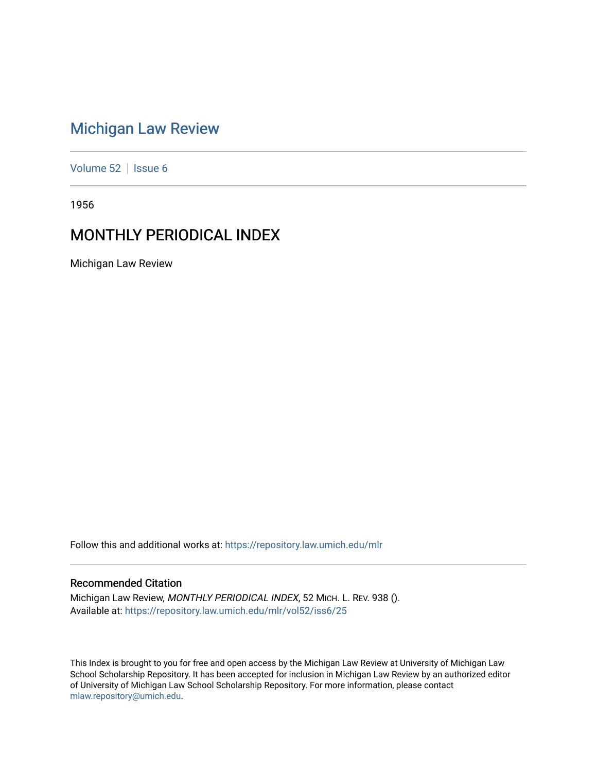# [Michigan Law Review](https://repository.law.umich.edu/mlr)

[Volume 52](https://repository.law.umich.edu/mlr/vol52) | [Issue 6](https://repository.law.umich.edu/mlr/vol52/iss6)

1956

# MONTHLY PERIODICAL INDEX

Michigan Law Review

Follow this and additional works at: [https://repository.law.umich.edu/mlr](https://repository.law.umich.edu/mlr?utm_source=repository.law.umich.edu%2Fmlr%2Fvol52%2Fiss6%2F25&utm_medium=PDF&utm_campaign=PDFCoverPages) 

# Recommended Citation

Michigan Law Review, MONTHLY PERIODICAL INDEX, 52 MICH. L. REV. 938 (). Available at: [https://repository.law.umich.edu/mlr/vol52/iss6/25](https://repository.law.umich.edu/mlr/vol52/iss6/25?utm_source=repository.law.umich.edu%2Fmlr%2Fvol52%2Fiss6%2F25&utm_medium=PDF&utm_campaign=PDFCoverPages) 

This Index is brought to you for free and open access by the Michigan Law Review at University of Michigan Law School Scholarship Repository. It has been accepted for inclusion in Michigan Law Review by an authorized editor of University of Michigan Law School Scholarship Repository. For more information, please contact [mlaw.repository@umich.edu.](mailto:mlaw.repository@umich.edu)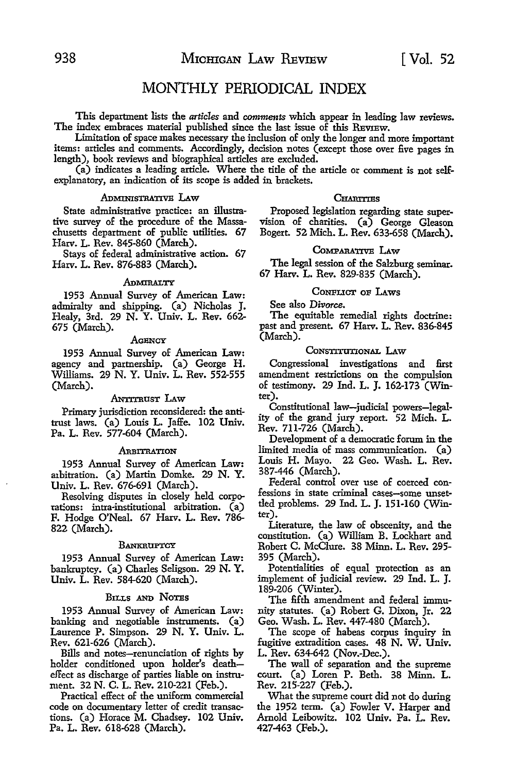# MONTHLY PERIODICAL INDEX

This department lists the *articles* and *comments* which appear in leading law reviews. The index embraces material published since the last issue of this REVIEW.

Limitation of space makes necessary the inclusion of only the longer and more important items: articles and comments. Accordingly, decision notes (except those over five pages in length), book reviews and biographical articles are excluded.

(a) indicates a leading article. Where the title of the article or comment is not selfexplanatory, an indication of its scope is added in brackets.

# ADMINISTRATIVE LAW CHARTTIES

State administrative practice: an illustrative survey of the procedure of the Massachusetts department of public utilities. 67 Harv. L. Rev. 845-860 (March).

Stays of federal administrative action. 67 Harv. L. Rev. 876-883 (March).

# ADMIRALTY

1953 Annual Survey of American Law: admiralty and shipping. (a) Nicholas J. Healy, 3rd. 29 N. Y. Univ. L. Rev. 662- 675 (March).

# **AGENCY**

1953 Annual Survey of American Law: agency and partnership. (a) George H. Williams. 29 N. Y. Univ. L. Rev. 552-555 (March).

# ANnntusT I.Aw

Primary jurisdiction reconsidered: the antitrust laws. (a) Louis L. Jaffe. 102 Univ. Pa. L. Rev. 577-604 (March).

# ARBITRATION

1953 Annual Survey of American Law: arbitration. (a) Martin Domke. 29 N.Y. Univ. L. Rev. 676-691 (March).

Resolving disputes in closely held corpotat:ons: intra-institutional arbitration. (a) F. Hodge O'Neal. 67 Harv. L. Rev. 786- 822 (March).

# **BANKRUPTCY**

1953 Annual Survey of American Law: bankruptcy. (a) Charles Seligson. 29 N. Y. Univ. L. Rev. 584-620 (March).

# BILLS AND NOTES

1953 Annual Survey of American Law: banking and negotiable instruments. (a) Laurence P. Simpson. 29 N. Y. Univ. L. Rev. 621-626 (March).

Bills and notes-renunciation of rights by holder conditioned upon holder's deatheffect as discharge of parties liable on instrument. 32 N. C. L. Rev. 210-221 (Feb.).

Practical effect of the uniform commercial code on documentary letter of credit transactions. (a) Horace M. Chadsey. 102 Univ. Pa. L. Rev. 618-628 (March).

Proposed legislation regarding state supervision of charities. (a) George Gleason Bogert. 52 Mich. L. Rev. 633-658 (March).

# CoMPARATIVE LAW

The legal session of the Salzburg seminar. 67 Harv. L. Rev. 829-835 (March).

# CONFLICT oP LAws

See also *Divorce.* 

The equitable remedial rights doctrine: past and present. 67 Harv. L. Rev. 836-845 (March).

# CONSTITUTIONAL I.Aw

Congressional investigations and first amendment restrictions on the compulsion of testimony. 29 Ind. L. J. 162-173 (Winter).

Constitutional law-judicial powers-legality of the grand jury report. 52 Mich. L. Rev. 711-726 (March).

Development of a democratic forum in the limited media of mass communication. (a) Louis H. Mayo. 22 Geo. Wash. L. Rev. 387-446 (March).

Federal control over use of coerced confessions in state criminal cases-some unsettled problems. 29 Ind. L. J. 151-160 (Winter).

Literature, the law of obscenity, and the constitution. (a) William B. Lockhart and Robert C. McClure. 38 Minn. L. Rev. 295- 395 (March),

Potentialities of equal protection as an implement of judicial review. 29 Ind. L. J. 189-206 (Winter).

The fifth amendment and federal immunity statutes. (a) Robert G. Dixon, Jr. 22 Geo. Wash. L. Rev. 447-480 (March).

The scope of habeas corpus inquiry in fugitive extradition cases. 48 N. W. Univ. L. Rev. 634-642 (Nov.-Dec.).

The wall of separation and the supreme ccurt. (a) Loren P. Beth. 38 Minn. L. Rev. 215-227 (Feb.).

What the supreme court did not do during the 1952 term. (a) Fowler V. Harper and Arnold Leibowitz. 102 Univ. Pa. L. Rev. 427-463 (Feb.).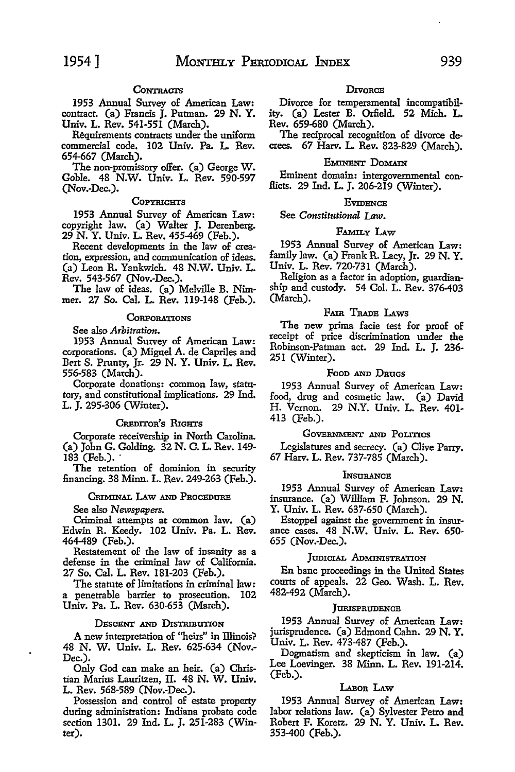# **CoNTRAcrs**

1953 Annual Survey of American Law: contract. (a) Francis J. Putman. 29 N. Y. Univ. L. Rev. 541-551 (March).

Réquirements contracts under the uniform commercial code. 102 Univ. Pa. L. Rev. 654-667 (March).

The non-promissory offer. (a) George W. Goble. 48 N.W. Univ. L. Rev. 590-597 (Nov.-Dec.).

# COPYRIGHTS

1953 Annual Survey of American Law: copyright law. (a) Walter J. Derenberg. 29 N. Y. Univ. L. Rev. 455-469 (Feb.).

Recent developments in the law of creation, expression, and communication of ideas. (a) Leon R. Yankwich. 48 N.W. Univ. L. Rev. 543-567 (Nov.-Dec.).

The law of ideas. (a) Melville B. Nimmer. 27 So. Cal. L. Rev. 119-148 (Feb.).

# **CORPORATIONS**

See also *Arbitration.* 

1953 Annual Survey of American Law: corporations. (a) Miguel A. de Capriles and Bert S. Prunty, Jr. 29 N.Y. Univ. L. Rev. 556-583 (March).

Corporate donations: common law, statutory, and constitutional implications. 29 Ind. L. J. 295-306 (Winter).

# CREDITOR'S RIGHTS

Corporate receivership in North Carolina. (a) John G. Golding. 32 N. C. L. Rev. 149- 183 (Feb.).

The retention of dominion in security financing. 38 Minn. L. Rev. 249-263 (Feb.).

# CRIMINAL LAW AND PROCEDURE

See also *Newspapers.* 

Criminal attempts at common law. (a) Edwin R. Keedy. 102 Univ. Pa. L. Rev. 464-489 (Feb.).

Restatement of the law of insanity as a defense in the criminal law of California. 27 So. Cal. L. Rev. 181-203 (Feb.).

The statute of limitations in criminal law: a penetrable barrier to prosecution. 102 Univ. Pa. L. Rev. 630-653 (March).

# DESCENT AND DISTRIBUTION

A new interpretation of "heirs" in Illinois'? 48 N. W. Univ. L. Rev. 625-634 (Nov.- Dec.).

Only God can make an heir. (a) Christian Marius Lauritzen, II. 48 N. W. Univ. L. Rev. 568-589 (Nov.-Dec.).

Possession and control of estate property during administration: Indiana probate code section 1301. 29 Ind. L. J. 251-283 (Winter).

# DIVORCE

Divorce for temperamental incompatibility. (a) Lester B. Orfield. 52 Mich. L. Rev. 659-680 (March).

The reciprocal recognition of divorce decrees. 67 Harv. L. Rev. 823-829 (March).

# EMINENT DOMAIN

Eminent domain: intergovernmental confficts. 29 Ind. L. J. 206-219 (Winter).

# **EVIDENCE**

See *Constitutional* Law.

# FAMILY LAw

1953 Annual Survey of American Law: family law. (a) Frank R. Lacy, Jr. 29 **N. Y.**  Univ. L. Rev. 720-731 (March).

Religion as a factor in adoption, guardianship and custody. 54 Col. L. Rev. 376-403 (March).

# FAIR TRADE LAWS

The new prima facie test for proof of receipt of price discrimination under the Robinson-Patman act. 29 Ind. L. J. 236- 251 (Winter).

# FOOD AND DRUGS

1953 Annual Survey of American Law: food, drug and cosmetic law. (a) David H. Vernon. 29 N.Y. Univ. L. Rev. 401- 413 (Feb.).

# GOVERNMENT AND POLITICS

Legislatures and secrecy. (a) Clive Parry. 67 Harv. L. Rev. 737-785 (March).

# **INSURANCE**

1953 Annual Survey of American Law: insurance. (a) William F. Johnson. 29 N. Y. Univ. L. Rev. 637-650 (March).

Estoppel against the government in insurance cases. 48 N.W. Univ. L. Rev. 650- 655 (Nov.-Dec.).

# JUDICIAL ADMINISTRATION

En bane proceedings in the United States courts of appeals. 22 Geo. Wash. L. Rev. 482-492 (March).

# JURISPRUDENCE

1953 Annual Survey of American Law: jurisprudence. (a) Edmond Cahn. 29 N. Y. Univ. L. Rev. 473-487 (Feb.).

Dogmatism and skepticism in law. (a) Lee Loevinger. 38 Minn. L. Rev. 191-214. (Feb.).

# LAEoR LAw

1953 Annual Survey of American Law: labor relations law. (a) Sylvester Petro and Robert F. Koretz. 29 N. Y. Univ. L. Rev. 353-400 (Feb.).